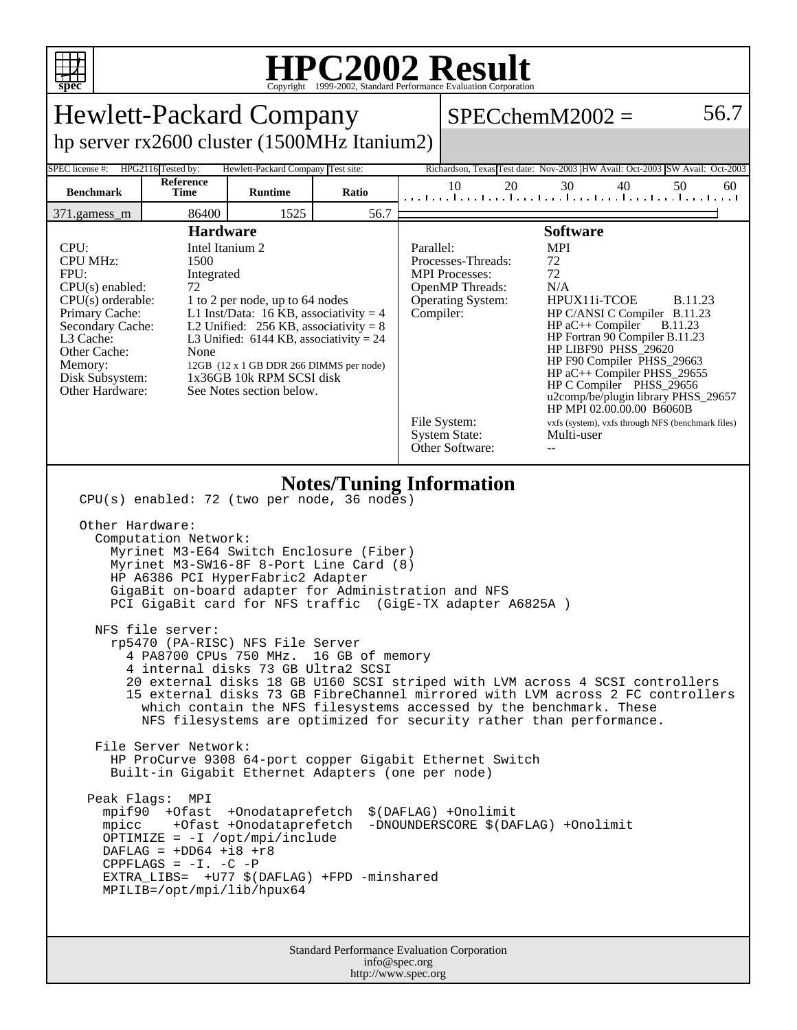

## **HPC2002 Result**

| <b>Hewlett-Packard Company</b>                                                                                                                                                                                                                                                                                                                                                                                                                                                                                                                                                                                                                                                                                                                                                                                                                                                                                                                                                                                                                                                                                                                                                                                                                                                                             |                   |                |       |                                                                                                                                                                                                                                                                                                                                                                                                                                                                                                                                                                                                                                               |          | $SPECchemM2002 =$                                                           | 56.7     |
|------------------------------------------------------------------------------------------------------------------------------------------------------------------------------------------------------------------------------------------------------------------------------------------------------------------------------------------------------------------------------------------------------------------------------------------------------------------------------------------------------------------------------------------------------------------------------------------------------------------------------------------------------------------------------------------------------------------------------------------------------------------------------------------------------------------------------------------------------------------------------------------------------------------------------------------------------------------------------------------------------------------------------------------------------------------------------------------------------------------------------------------------------------------------------------------------------------------------------------------------------------------------------------------------------------|-------------------|----------------|-------|-----------------------------------------------------------------------------------------------------------------------------------------------------------------------------------------------------------------------------------------------------------------------------------------------------------------------------------------------------------------------------------------------------------------------------------------------------------------------------------------------------------------------------------------------------------------------------------------------------------------------------------------------|----------|-----------------------------------------------------------------------------|----------|
| hp server rx2600 cluster (1500MHz Itanium2)                                                                                                                                                                                                                                                                                                                                                                                                                                                                                                                                                                                                                                                                                                                                                                                                                                                                                                                                                                                                                                                                                                                                                                                                                                                                |                   |                |       |                                                                                                                                                                                                                                                                                                                                                                                                                                                                                                                                                                                                                                               |          |                                                                             |          |
| HPG2116 Tested by:<br>Hewlett-Packard Company Test site:<br>SPEC license #:                                                                                                                                                                                                                                                                                                                                                                                                                                                                                                                                                                                                                                                                                                                                                                                                                                                                                                                                                                                                                                                                                                                                                                                                                                |                   |                |       |                                                                                                                                                                                                                                                                                                                                                                                                                                                                                                                                                                                                                                               |          | Richardson, Texas Test date: Nov-2003 HW Avail: Oct-2003 SW Avail: Oct-2003 |          |
| <b>Benchmark</b>                                                                                                                                                                                                                                                                                                                                                                                                                                                                                                                                                                                                                                                                                                                                                                                                                                                                                                                                                                                                                                                                                                                                                                                                                                                                                           | Reference<br>Time | <b>Runtime</b> | Ratio |                                                                                                                                                                                                                                                                                                                                                                                                                                                                                                                                                                                                                                               | 10<br>20 | 30<br>40<br>المتاحيط ووالمتاحيط ووالمواجبا ووالمواجبا ووالوواور             | 50<br>60 |
| 86400<br>1525<br>56.7<br>371.gamess_m                                                                                                                                                                                                                                                                                                                                                                                                                                                                                                                                                                                                                                                                                                                                                                                                                                                                                                                                                                                                                                                                                                                                                                                                                                                                      |                   |                |       |                                                                                                                                                                                                                                                                                                                                                                                                                                                                                                                                                                                                                                               |          |                                                                             |          |
| <b>Hardware</b><br>Intel Itanium 2<br>CPU:<br><b>CPU MHz:</b><br>1500<br>FPU:<br>Integrated<br>$CPU(s)$ enabled:<br>72<br>$CPU(s)$ orderable:<br>1 to 2 per node, up to 64 nodes<br>Primary Cache:<br>L1 Inst/Data: 16 KB, associativity = $4$<br>Secondary Cache:<br>L2 Unified: $256$ KB, associativity = 8<br>L3 Cache:<br>L3 Unified: $6144$ KB, associativity = 24<br>Other Cache:<br>None<br>Memory:<br>12GB (12 x 1 GB DDR 266 DIMMS per node)<br>1x36GB 10k RPM SCSI disk<br>Disk Subsystem:<br>Other Hardware:<br>See Notes section below.                                                                                                                                                                                                                                                                                                                                                                                                                                                                                                                                                                                                                                                                                                                                                        |                   |                |       | <b>Software</b><br><b>MPI</b><br>Parallel:<br>Processes-Threads:<br>72<br>72<br><b>MPI</b> Processes:<br>N/A<br>OpenMP Threads:<br>HPUX11i-TCOE<br><b>B.11.23</b><br><b>Operating System:</b><br>Compiler:<br>HP C/ANSI C Compiler B.11.23<br>$HP$ aC++ Compiler<br><b>B.11.23</b><br>HP Fortran 90 Compiler B.11.23<br>HP LIBF90 PHSS_29620<br>HP F90 Compiler PHSS_29663<br>HP aC++ Compiler PHSS_29655<br>HP C Compiler PHSS_29656<br>u2comp/be/plugin library PHSS_29657<br>HP MPI 02.00.00.00 B6060B<br>File System:<br>vxfs (system), vxfs through NFS (benchmark files)<br><b>System State:</b><br>Multi-user<br>Other Software:<br>-- |          |                                                                             |          |
| <b>Notes/Tuning Information</b><br>CPU(s) enabled: 72 (two per node, 36 nodes)<br>Other Hardware:<br>Computation Network:<br>Myrinet M3-E64 Switch Enclosure (Fiber)<br>Myrinet M3-SW16-8F 8-Port Line Card (8)<br>HP A6386 PCI HyperFabric2 Adapter<br>GigaBit on-board adapter for Administration and NFS<br>PCI GigaBit card for NFS traffic (GigE-TX adapter A6825A )<br>NFS file server:<br>rp5470 (PA-RISC) NFS File Server<br>4 PA8700 CPUs 750 MHz.<br>16 GB of memory<br>4 internal disks 73 GB Ultra2 SCSI<br>20 external disks 18 GB U160 SCSI striped with LVM across 4 SCSI controllers<br>15 external disks 73 GB FibreChannel mirrored with LVM across 2 FC controllers<br>which contain the NFS filesystems accessed by the benchmark. These<br>NFS filesystems are optimized for security rather than performance.<br>File Server Network:<br>HP ProCurve 9308 64-port copper Gigabit Ethernet Switch<br>Built-in Gigabit Ethernet Adapters (one per node)<br>Peak Flags:<br>MPI<br>mpif90 +Ofast +Onodataprefetch<br>\$(DAFLAG) +Onolimit<br>mpicc +Ofast +Onodataprefetch<br>-DNOUNDERSCORE \$(DAFLAG) +Onolimit<br>OPTIMIZE = $-I$ /opt/mpi/include<br>DAFLAG = $+DD64$ +i8 +r8<br>CPPFLAGS = $-I. -C$ -P<br>EXTRA_LIBS= +U77 \$(DAFLAG) +FPD -minshared<br>MPILIB=/opt/mpi/lib/hpux64 |                   |                |       |                                                                                                                                                                                                                                                                                                                                                                                                                                                                                                                                                                                                                                               |          |                                                                             |          |
| Standard Performance Evaluation Corporation<br>info@apaa.org                                                                                                                                                                                                                                                                                                                                                                                                                                                                                                                                                                                                                                                                                                                                                                                                                                                                                                                                                                                                                                                                                                                                                                                                                                               |                   |                |       |                                                                                                                                                                                                                                                                                                                                                                                                                                                                                                                                                                                                                                               |          |                                                                             |          |

info@spec.org http://www.spec.org